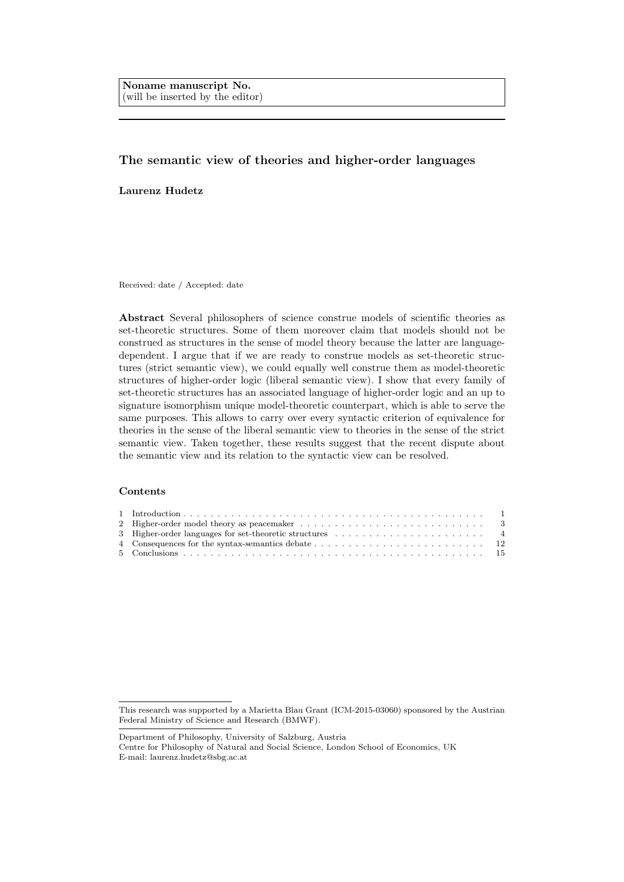Noname manuscript No. (will be inserted by the editor)

# The semantic view of theories and higher-order languages

Laurenz Hudetz

Received: date / Accepted: date

Abstract Several philosophers of science construe models of scientific theories as set-theoretic structures. Some of them moreover claim that models should not be construed as structures in the sense of model theory because the latter are languagedependent. I argue that if we are ready to construe models as set-theoretic structures (strict semantic view), we could equally well construe them as model-theoretic structures of higher-order logic (liberal semantic view). I show that every family of set-theoretic structures has an associated language of higher-order logic and an up to signature isomorphism unique model-theoretic counterpart, which is able to serve the same purposes. This allows to carry over every syntactic criterion of equivalence for theories in the sense of the liberal semantic view to theories in the sense of the strict semantic view. Taken together, these results suggest that the recent dispute about the semantic view and its relation to the syntactic view can be resolved.

## Contents

Centre for Philosophy of Natural and Social Science, London School of Economics, UK E-mail: laurenz.hudetz@sbg.ac.at

This research was supported by a Marietta Blau Grant (ICM-2015-03060) sponsored by the Austrian Federal Ministry of Science and Research (BMWF).

Department of Philosophy, University of Salzburg, Austria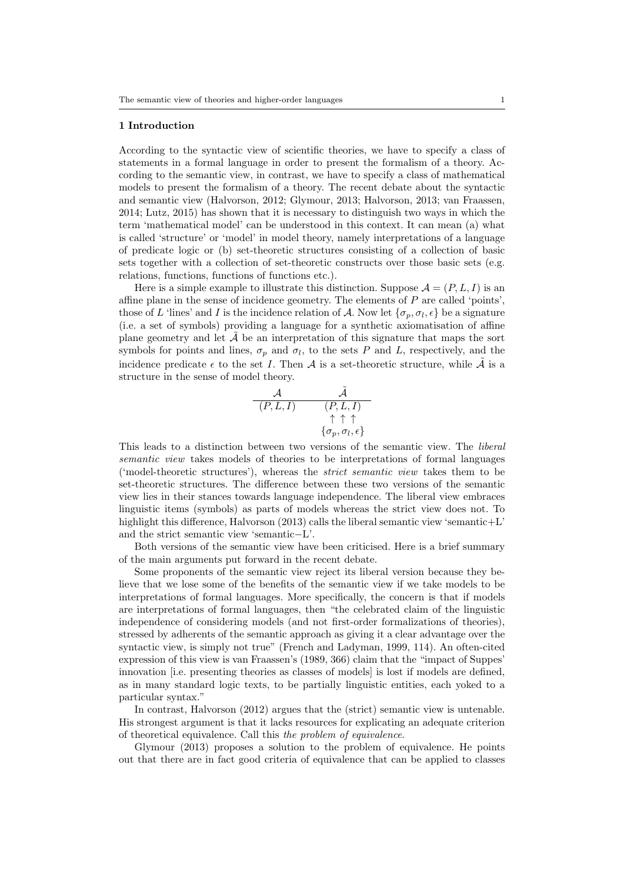### 1 Introduction

According to the syntactic view of scientific theories, we have to specify a class of statements in a formal language in order to present the formalism of a theory. According to the semantic view, in contrast, we have to specify a class of mathematical models to present the formalism of a theory. The recent debate about the syntactic and semantic view (Halvorson, 2012; Glymour, 2013; Halvorson, 2013; van Fraassen, 2014; Lutz, 2015) has shown that it is necessary to distinguish two ways in which the term 'mathematical model' can be understood in this context. It can mean (a) what is called 'structure' or 'model' in model theory, namely interpretations of a language of predicate logic or (b) set-theoretic structures consisting of a collection of basic sets together with a collection of set-theoretic constructs over those basic sets (e.g. relations, functions, functions of functions etc.).

Here is a simple example to illustrate this distinction. Suppose  $\mathcal{A} = (P, L, I)$  is an affine plane in the sense of incidence geometry. The elements of  $P$  are called 'points', those of L 'lines' and I is the incidence relation of A. Now let  $\{\sigma_p, \sigma_l, \epsilon\}$  be a signature (i.e. a set of symbols) providing a language for a synthetic axiomatisation of affine plane geometry and let  $\tilde{\mathcal{A}}$  be an interpretation of this signature that maps the sort symbols for points and lines,  $\sigma_p$  and  $\sigma_l$ , to the sets P and L, respectively, and the incidence predicate  $\epsilon$  to the set I. Then A is a set-theoretic structure, while  $\tilde{\mathcal{A}}$  is a structure in the sense of model theory.

$$
\begin{matrix}\mathcal{A} & \tilde{\mathcal{A}} \\ (P,L,I) & (P,L,I) \\ \uparrow \uparrow \uparrow \\ \{\sigma_p,\sigma_l,\epsilon\}\end{matrix}
$$

This leads to a distinction between two versions of the semantic view. The liberal semantic view takes models of theories to be interpretations of formal languages ('model-theoretic structures'), whereas the strict semantic view takes them to be set-theoretic structures. The difference between these two versions of the semantic view lies in their stances towards language independence. The liberal view embraces linguistic items (symbols) as parts of models whereas the strict view does not. To highlight this difference, Halvorson (2013) calls the liberal semantic view 'semantic+L' and the strict semantic view 'semantic−L'.

Both versions of the semantic view have been criticised. Here is a brief summary of the main arguments put forward in the recent debate.

Some proponents of the semantic view reject its liberal version because they believe that we lose some of the benefits of the semantic view if we take models to be interpretations of formal languages. More specifically, the concern is that if models are interpretations of formal languages, then "the celebrated claim of the linguistic independence of considering models (and not first-order formalizations of theories), stressed by adherents of the semantic approach as giving it a clear advantage over the syntactic view, is simply not true" (French and Ladyman, 1999, 114). An often-cited expression of this view is van Fraassen's (1989, 366) claim that the "impact of Suppes' innovation [i.e. presenting theories as classes of models] is lost if models are defined, as in many standard logic texts, to be partially linguistic entities, each yoked to a particular syntax."

In contrast, Halvorson (2012) argues that the (strict) semantic view is untenable. His strongest argument is that it lacks resources for explicating an adequate criterion of theoretical equivalence. Call this the problem of equivalence.

Glymour (2013) proposes a solution to the problem of equivalence. He points out that there are in fact good criteria of equivalence that can be applied to classes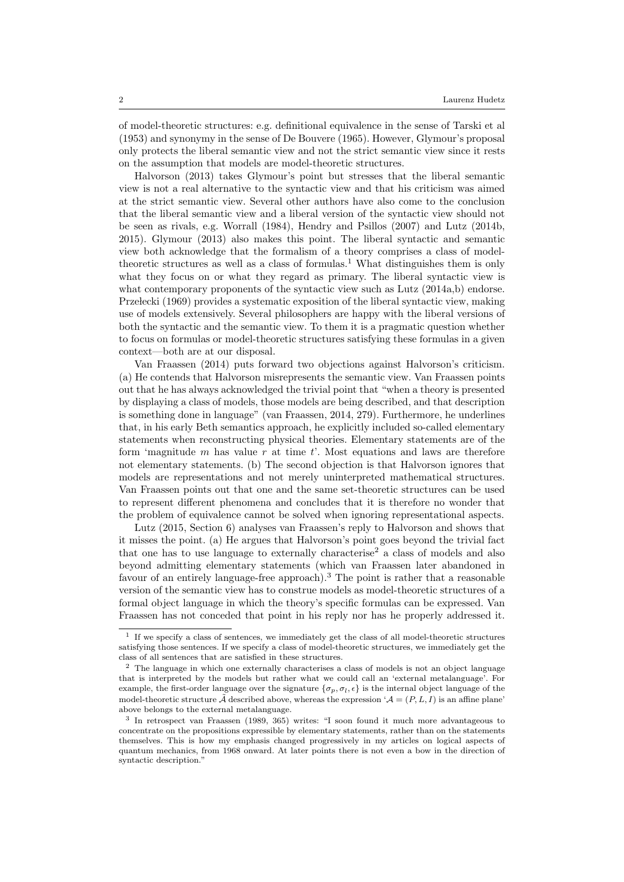of model-theoretic structures: e.g. definitional equivalence in the sense of Tarski et al (1953) and synonymy in the sense of De Bouvere (1965). However, Glymour's proposal only protects the liberal semantic view and not the strict semantic view since it rests on the assumption that models are model-theoretic structures.

Halvorson (2013) takes Glymour's point but stresses that the liberal semantic view is not a real alternative to the syntactic view and that his criticism was aimed at the strict semantic view. Several other authors have also come to the conclusion that the liberal semantic view and a liberal version of the syntactic view should not be seen as rivals, e.g. Worrall (1984), Hendry and Psillos (2007) and Lutz (2014b, 2015). Glymour (2013) also makes this point. The liberal syntactic and semantic view both acknowledge that the formalism of a theory comprises a class of modeltheoretic structures as well as a class of formulas.<sup>1</sup> What distinguishes them is only what they focus on or what they regard as primary. The liberal syntactic view is what contemporary proponents of the syntactic view such as Lutz (2014a,b) endorse. Przełecki (1969) provides a systematic exposition of the liberal syntactic view, making use of models extensively. Several philosophers are happy with the liberal versions of both the syntactic and the semantic view. To them it is a pragmatic question whether to focus on formulas or model-theoretic structures satisfying these formulas in a given context—both are at our disposal.

Van Fraassen (2014) puts forward two objections against Halvorson's criticism. (a) He contends that Halvorson misrepresents the semantic view. Van Fraassen points out that he has always acknowledged the trivial point that "when a theory is presented by displaying a class of models, those models are being described, and that description is something done in language" (van Fraassen, 2014, 279). Furthermore, he underlines that, in his early Beth semantics approach, he explicitly included so-called elementary statements when reconstructing physical theories. Elementary statements are of the form 'magnitude  $m$  has value  $r$  at time  $t'$ . Most equations and laws are therefore not elementary statements. (b) The second objection is that Halvorson ignores that models are representations and not merely uninterpreted mathematical structures. Van Fraassen points out that one and the same set-theoretic structures can be used to represent different phenomena and concludes that it is therefore no wonder that the problem of equivalence cannot be solved when ignoring representational aspects.

Lutz (2015, Section 6) analyses van Fraassen's reply to Halvorson and shows that it misses the point. (a) He argues that Halvorson's point goes beyond the trivial fact that one has to use language to externally characterise<sup>2</sup> a class of models and also beyond admitting elementary statements (which van Fraassen later abandoned in favour of an entirely language-free approach).<sup>3</sup> The point is rather that a reasonable version of the semantic view has to construe models as model-theoretic structures of a formal object language in which the theory's specific formulas can be expressed. Van Fraassen has not conceded that point in his reply nor has he properly addressed it.

<sup>&</sup>lt;sup>1</sup> If we specify a class of sentences, we immediately get the class of all model-theoretic structures satisfying those sentences. If we specify a class of model-theoretic structures, we immediately get the class of all sentences that are satisfied in these structures.

<sup>2</sup> The language in which one externally characterises a class of models is not an object language that is interpreted by the models but rather what we could call an 'external metalanguage'. For example, the first-order language over the signature  $\{\sigma_p, \sigma_l, \epsilon\}$  is the internal object language of the model-theoretic structure  $\tilde{\mathcal{A}}$  described above, whereas the expression  $\mathcal{A} = (P, L, I)$  is an affine plane' above belongs to the external metalanguage.

<sup>3</sup> In retrospect van Fraassen (1989, 365) writes: "I soon found it much more advantageous to concentrate on the propositions expressible by elementary statements, rather than on the statements themselves. This is how my emphasis changed progressively in my articles on logical aspects of quantum mechanics, from 1968 onward. At later points there is not even a bow in the direction of syntactic description."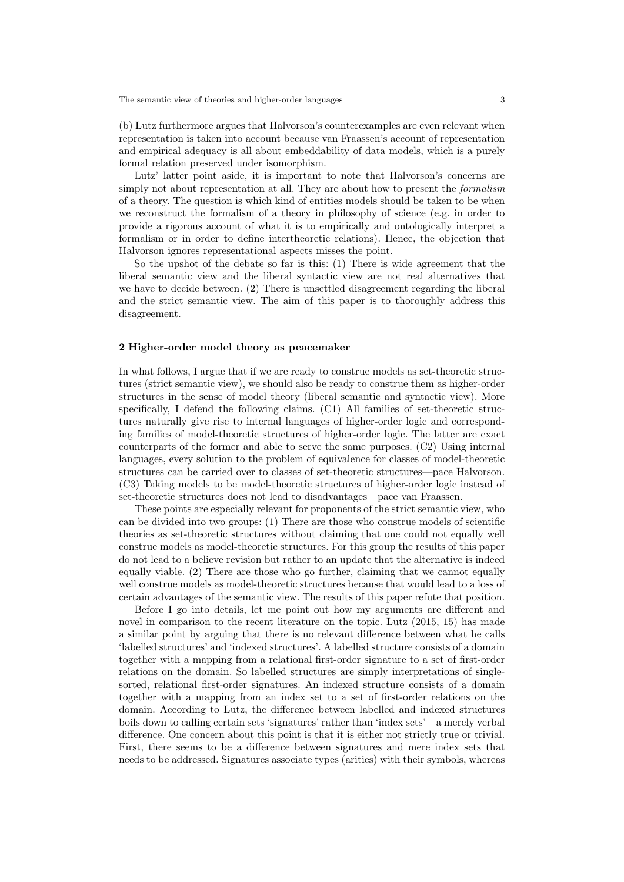(b) Lutz furthermore argues that Halvorson's counterexamples are even relevant when representation is taken into account because van Fraassen's account of representation and empirical adequacy is all about embeddability of data models, which is a purely formal relation preserved under isomorphism.

Lutz' latter point aside, it is important to note that Halvorson's concerns are simply not about representation at all. They are about how to present the *formalism* of a theory. The question is which kind of entities models should be taken to be when we reconstruct the formalism of a theory in philosophy of science (e.g. in order to provide a rigorous account of what it is to empirically and ontologically interpret a formalism or in order to define intertheoretic relations). Hence, the objection that Halvorson ignores representational aspects misses the point.

So the upshot of the debate so far is this: (1) There is wide agreement that the liberal semantic view and the liberal syntactic view are not real alternatives that we have to decide between. (2) There is unsettled disagreement regarding the liberal and the strict semantic view. The aim of this paper is to thoroughly address this disagreement.

## 2 Higher-order model theory as peacemaker

In what follows, I argue that if we are ready to construe models as set-theoretic structures (strict semantic view), we should also be ready to construe them as higher-order structures in the sense of model theory (liberal semantic and syntactic view). More specifically, I defend the following claims. (C1) All families of set-theoretic structures naturally give rise to internal languages of higher-order logic and corresponding families of model-theoretic structures of higher-order logic. The latter are exact counterparts of the former and able to serve the same purposes. (C2) Using internal languages, every solution to the problem of equivalence for classes of model-theoretic structures can be carried over to classes of set-theoretic structures—pace Halvorson. (C3) Taking models to be model-theoretic structures of higher-order logic instead of set-theoretic structures does not lead to disadvantages—pace van Fraassen.

These points are especially relevant for proponents of the strict semantic view, who can be divided into two groups: (1) There are those who construe models of scientific theories as set-theoretic structures without claiming that one could not equally well construe models as model-theoretic structures. For this group the results of this paper do not lead to a believe revision but rather to an update that the alternative is indeed equally viable. (2) There are those who go further, claiming that we cannot equally well construe models as model-theoretic structures because that would lead to a loss of certain advantages of the semantic view. The results of this paper refute that position.

Before I go into details, let me point out how my arguments are different and novel in comparison to the recent literature on the topic. Lutz (2015, 15) has made a similar point by arguing that there is no relevant difference between what he calls 'labelled structures' and 'indexed structures'. A labelled structure consists of a domain together with a mapping from a relational first-order signature to a set of first-order relations on the domain. So labelled structures are simply interpretations of singlesorted, relational first-order signatures. An indexed structure consists of a domain together with a mapping from an index set to a set of first-order relations on the domain. According to Lutz, the difference between labelled and indexed structures boils down to calling certain sets 'signatures' rather than 'index sets'—a merely verbal difference. One concern about this point is that it is either not strictly true or trivial. First, there seems to be a difference between signatures and mere index sets that needs to be addressed. Signatures associate types (arities) with their symbols, whereas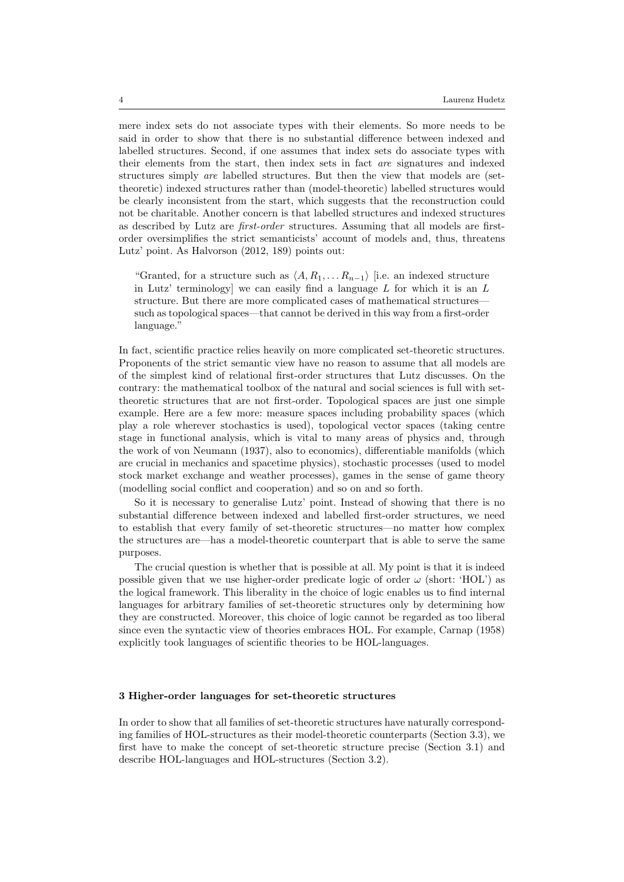mere index sets do not associate types with their elements. So more needs to be said in order to show that there is no substantial difference between indexed and labelled structures. Second, if one assumes that index sets do associate types with their elements from the start, then index sets in fact are signatures and indexed structures simply are labelled structures. But then the view that models are (settheoretic) indexed structures rather than (model-theoretic) labelled structures would be clearly inconsistent from the start, which suggests that the reconstruction could not be charitable. Another concern is that labelled structures and indexed structures as described by Lutz are first-order structures. Assuming that all models are firstorder oversimplifies the strict semanticists' account of models and, thus, threatens Lutz' point. As Halvorson (2012, 189) points out:

"Granted, for a structure such as  $\langle A, R_1, \ldots R_{n-1}\rangle$  [i.e. an indexed structure in Lutz' terminology] we can easily find a language  $L$  for which it is an  $L$ structure. But there are more complicated cases of mathematical structures such as topological spaces—that cannot be derived in this way from a first-order language."

In fact, scientific practice relies heavily on more complicated set-theoretic structures. Proponents of the strict semantic view have no reason to assume that all models are of the simplest kind of relational first-order structures that Lutz discusses. On the contrary: the mathematical toolbox of the natural and social sciences is full with settheoretic structures that are not first-order. Topological spaces are just one simple example. Here are a few more: measure spaces including probability spaces (which play a role wherever stochastics is used), topological vector spaces (taking centre stage in functional analysis, which is vital to many areas of physics and, through the work of von Neumann (1937), also to economics), differentiable manifolds (which are crucial in mechanics and spacetime physics), stochastic processes (used to model stock market exchange and weather processes), games in the sense of game theory (modelling social conflict and cooperation) and so on and so forth.

So it is necessary to generalise Lutz' point. Instead of showing that there is no substantial difference between indexed and labelled first-order structures, we need to establish that every family of set-theoretic structures—no matter how complex the structures are—has a model-theoretic counterpart that is able to serve the same purposes.

The crucial question is whether that is possible at all. My point is that it is indeed possible given that we use higher-order predicate logic of order  $\omega$  (short: 'HOL') as the logical framework. This liberality in the choice of logic enables us to find internal languages for arbitrary families of set-theoretic structures only by determining how they are constructed. Moreover, this choice of logic cannot be regarded as too liberal since even the syntactic view of theories embraces HOL. For example, Carnap (1958) explicitly took languages of scientific theories to be HOL-languages.

## 3 Higher-order languages for set-theoretic structures

In order to show that all families of set-theoretic structures have naturally corresponding families of HOL-structures as their model-theoretic counterparts (Section 3.3), we first have to make the concept of set-theoretic structure precise (Section 3.1) and describe HOL-languages and HOL-structures (Section 3.2).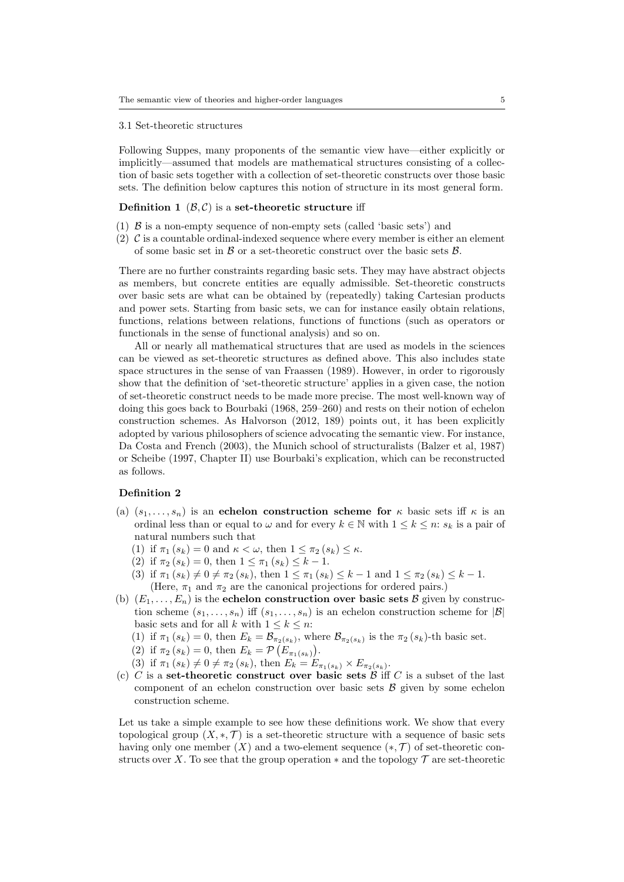#### 3.1 Set-theoretic structures

Following Suppes, many proponents of the semantic view have—either explicitly or implicitly—assumed that models are mathematical structures consisting of a collection of basic sets together with a collection of set-theoretic constructs over those basic sets. The definition below captures this notion of structure in its most general form.

#### **Definition 1**  $(\mathcal{B}, \mathcal{C})$  is a set-theoretic structure iff

- (1)  $\beta$  is a non-empty sequence of non-empty sets (called 'basic sets') and
- (2)  $\mathcal C$  is a countable ordinal-indexed sequence where every member is either an element of some basic set in  $\beta$  or a set-theoretic construct over the basic sets  $\beta$ .

There are no further constraints regarding basic sets. They may have abstract objects as members, but concrete entities are equally admissible. Set-theoretic constructs over basic sets are what can be obtained by (repeatedly) taking Cartesian products and power sets. Starting from basic sets, we can for instance easily obtain relations, functions, relations between relations, functions of functions (such as operators or functionals in the sense of functional analysis) and so on.

All or nearly all mathematical structures that are used as models in the sciences can be viewed as set-theoretic structures as defined above. This also includes state space structures in the sense of van Fraassen (1989). However, in order to rigorously show that the definition of 'set-theoretic structure' applies in a given case, the notion of set-theoretic construct needs to be made more precise. The most well-known way of doing this goes back to Bourbaki (1968, 259–260) and rests on their notion of echelon construction schemes. As Halvorson (2012, 189) points out, it has been explicitly adopted by various philosophers of science advocating the semantic view. For instance, Da Costa and French (2003), the Munich school of structuralists (Balzer et al, 1987) or Scheibe (1997, Chapter II) use Bourbaki's explication, which can be reconstructed as follows.

## Definition 2

- (a)  $(s_1, \ldots, s_n)$  is an echelon construction scheme for  $\kappa$  basic sets iff  $\kappa$  is an ordinal less than or equal to  $\omega$  and for every  $k \in \mathbb{N}$  with  $1 \leq k \leq n$ :  $s_k$  is a pair of natural numbers such that
	- (1) if  $\pi_1(s_k) = 0$  and  $\kappa < \omega$ , then  $1 \leq \pi_2(s_k) \leq \kappa$ .
	- (2) if  $\pi_2(s_k) = 0$ , then  $1 \leq \pi_1(s_k) \leq k 1$ .
	- (3) if  $\pi_1(s_k) \neq 0 \neq \pi_2(s_k)$ , then  $1 \leq \pi_1(s_k) \leq k-1$  and  $1 \leq \pi_2(s_k) \leq k-1$ . (Here,  $\pi_1$  and  $\pi_2$  are the canonical projections for ordered pairs.)
- (b)  $(E_1, \ldots, E_n)$  is the echelon construction over basic sets B given by construction scheme  $(s_1, \ldots, s_n)$  iff  $(s_1, \ldots, s_n)$  is an echelon construction scheme for  $|\mathcal{B}|$ basic sets and for all k with  $1 \leq k \leq n$ :
	- (1) if  $\pi_1(s_k) = 0$ , then  $E_k = \mathcal{B}_{\pi_2(s_k)}$ , where  $\mathcal{B}_{\pi_2(s_k)}$  is the  $\pi_2(s_k)$ -th basic set.
	- (2) if  $\pi_2(s_k) = 0$ , then  $E_k = \mathcal{P}(E_{\pi_1(s_k)})$ .
	- (3) if  $\pi_1(s_k) \neq 0 \neq \pi_2(s_k)$ , then  $E_k = E_{\pi_1(s_k)} \times E_{\pi_2(s_k)}$ .
- (c) C is a set-theoretic construct over basic sets  $\overline{\mathcal{B}}$  iff C is a subset of the last component of an echelon construction over basic sets  $\beta$  given by some echelon construction scheme.

Let us take a simple example to see how these definitions work. We show that every topological group  $(X, \ast, \mathcal{T})$  is a set-theoretic structure with a sequence of basic sets having only one member  $(X)$  and a two-element sequence  $(*, \mathcal{T})$  of set-theoretic constructs over X. To see that the group operation  $*$  and the topology  $\mathcal T$  are set-theoretic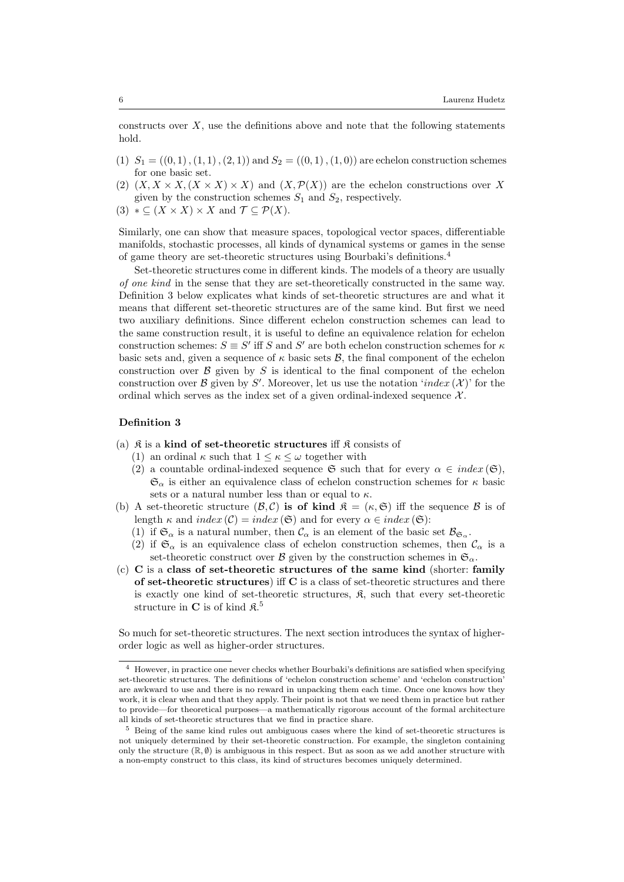constructs over  $X$ , use the definitions above and note that the following statements hold.

- (1)  $S_1 = ((0,1), (1,1), (2,1))$  and  $S_2 = ((0,1), (1,0))$  are echelon construction schemes for one basic set.
- (2)  $(X, X \times X, (X \times X) \times X)$  and  $(X, \mathcal{P}(X))$  are the echelon constructions over X given by the construction schemes  $S_1$  and  $S_2$ , respectively.
- (3)  $* \subseteq (X \times X) \times X$  and  $\mathcal{T} \subseteq \mathcal{P}(X)$ .

Similarly, one can show that measure spaces, topological vector spaces, differentiable manifolds, stochastic processes, all kinds of dynamical systems or games in the sense of game theory are set-theoretic structures using Bourbaki's definitions.<sup>4</sup>

Set-theoretic structures come in different kinds. The models of a theory are usually of one kind in the sense that they are set-theoretically constructed in the same way. Definition 3 below explicates what kinds of set-theoretic structures are and what it means that different set-theoretic structures are of the same kind. But first we need two auxiliary definitions. Since different echelon construction schemes can lead to the same construction result, it is useful to define an equivalence relation for echelon construction schemes:  $S \equiv S'$  iff S and S' are both echelon construction schemes for  $\kappa$ basic sets and, given a sequence of  $\kappa$  basic sets  $\mathcal{B}$ , the final component of the echelon construction over  $\beta$  given by S is identical to the final component of the echelon construction over  $\mathcal B$  given by S'. Moreover, let us use the notation 'index  $(\mathcal X)$ ' for the ordinal which serves as the index set of a given ordinal-indexed sequence  $\mathcal{X}$ .

## Definition 3

- (a)  $\hat{\mathcal{R}}$  is a kind of set-theoretic structures iff  $\hat{\mathcal{R}}$  consists of
	- (1) an ordinal  $\kappa$  such that  $1 \leq \kappa \leq \omega$  together with
	- (2) a countable ordinal-indexed sequence  $\mathfrak{S}$  such that for every  $\alpha \in index(\mathfrak{S}),$  $\mathfrak{S}_{\alpha}$  is either an equivalence class of echelon construction schemes for  $\kappa$  basic sets or a natural number less than or equal to  $\kappa$ .
- (b) A set-theoretic structure  $(\mathcal{B}, \mathcal{C})$  is of kind  $\mathfrak{K} = (\kappa, \mathfrak{S})$  iff the sequence  $\mathcal{B}$  is of length  $\kappa$  and  $index (\mathcal{C}) = index (\mathfrak{S})$  and for every  $\alpha \in index (\mathfrak{S})$ :
	- (1) if  $\mathfrak{S}_{\alpha}$  is a natural number, then  $\mathcal{C}_{\alpha}$  is an element of the basic set  $\mathcal{B}_{\mathfrak{S}_{\alpha}}$ .
	- (2) if  $\mathfrak{S}_{\alpha}$  is an equivalence class of echelon construction schemes, then  $\mathcal{C}_{\alpha}$  is a set-theoretic construct over B given by the construction schemes in  $\mathfrak{S}_{\alpha}$ .
- (c) C is a class of set-theoretic structures of the same kind (shorter: family of set-theoretic structures) iff C is a class of set-theoretic structures and there is exactly one kind of set-theoretic structures,  $\mathfrak{K}$ , such that every set-theoretic structure in  $C$  is of kind  $\mathfrak{K}^5$

So much for set-theoretic structures. The next section introduces the syntax of higherorder logic as well as higher-order structures.

<sup>4</sup> However, in practice one never checks whether Bourbaki's definitions are satisfied when specifying set-theoretic structures. The definitions of 'echelon construction scheme' and 'echelon construction' are awkward to use and there is no reward in unpacking them each time. Once one knows how they work, it is clear when and that they apply. Their point is not that we need them in practice but rather to provide—for theoretical purposes—a mathematically rigorous account of the formal architecture all kinds of set-theoretic structures that we find in practice share.

<sup>5</sup> Being of the same kind rules out ambiguous cases where the kind of set-theoretic structures is not uniquely determined by their set-theoretic construction. For example, the singleton containing only the structure  $(\mathbb{R}, \emptyset)$  is ambiguous in this respect. But as soon as we add another structure with a non-empty construct to this class, its kind of structures becomes uniquely determined.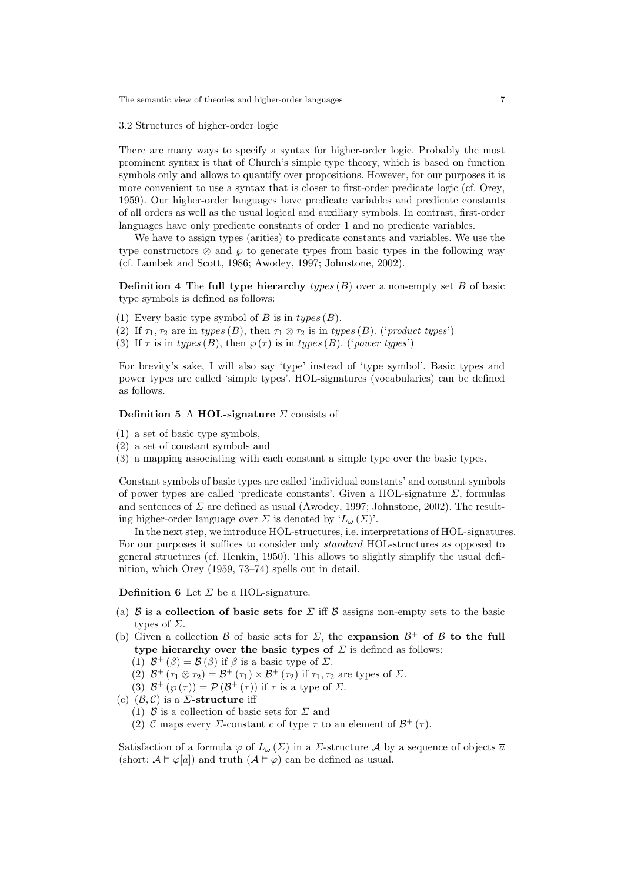3.2 Structures of higher-order logic

There are many ways to specify a syntax for higher-order logic. Probably the most prominent syntax is that of Church's simple type theory, which is based on function symbols only and allows to quantify over propositions. However, for our purposes it is more convenient to use a syntax that is closer to first-order predicate logic (cf. Orey, 1959). Our higher-order languages have predicate variables and predicate constants of all orders as well as the usual logical and auxiliary symbols. In contrast, first-order languages have only predicate constants of order 1 and no predicate variables.

We have to assign types (arities) to predicate constants and variables. We use the type constructors  $\otimes$  and  $\varphi$  to generate types from basic types in the following way (cf. Lambek and Scott, 1986; Awodey, 1997; Johnstone, 2002).

**Definition 4** The full type hierarchy types  $(B)$  over a non-empty set B of basic type symbols is defined as follows:

- (1) Every basic type symbol of B is in  $types(B)$ .
- (2) If  $\tau_1, \tau_2$  are in types (B), then  $\tau_1 \otimes \tau_2$  is in types (B). ('product types')
- (3) If  $\tau$  is in types (B), then  $\varphi(\tau)$  is in types (B). ('power types')

For brevity's sake, I will also say 'type' instead of 'type symbol'. Basic types and power types are called 'simple types'. HOL-signatures (vocabularies) can be defined as follows.

### Definition 5 A HOL-signature  $\Sigma$  consists of

- (1) a set of basic type symbols,
- (2) a set of constant symbols and
- (3) a mapping associating with each constant a simple type over the basic types.

Constant symbols of basic types are called 'individual constants' and constant symbols of power types are called 'predicate constants'. Given a HOL-signature  $\Sigma$ , formulas and sentences of  $\Sigma$  are defined as usual (Awodey, 1997; Johnstone, 2002). The resulting higher-order language over  $\Sigma$  is denoted by ' $L_{\omega}(\Sigma)$ '.

In the next step, we introduce HOL-structures, i.e. interpretations of HOL-signatures. For our purposes it suffices to consider only standard HOL-structures as opposed to general structures (cf. Henkin, 1950). This allows to slightly simplify the usual definition, which Orey (1959, 73–74) spells out in detail.

#### **Definition 6** Let  $\Sigma$  be a HOL-signature.

- (a)  $\beta$  is a collection of basic sets for  $\Sigma$  iff  $\beta$  assigns non-empty sets to the basic types of  $\Sigma$ .
- (b) Given a collection  $\mathcal B$  of basic sets for  $\Sigma$ , the expansion  $\mathcal B^+$  of  $\mathcal B$  to the full type hierarchy over the basic types of  $\Sigma$  is defined as follows:
	- (1)  $\mathcal{B}^+(\beta) = \mathcal{B}(\beta)$  if  $\beta$  is a basic type of  $\Sigma$ .
	- (2)  $\mathcal{B}^+(\tau_1 \otimes \tau_2) = \mathcal{B}^+(\tau_1) \times \mathcal{B}^+(\tau_2)$  if  $\tau_1, \tau_2$  are types of  $\Sigma$ .
	- (3)  $\mathcal{B}^+(\wp(\tau)) = \mathcal{P}(\mathcal{B}^+(\tau))$  if  $\tau$  is a type of  $\Sigma$ .
- (c)  $(\mathcal{B}, \mathcal{C})$  is a *Σ*-structure iff
	- (1)  $\beta$  is a collection of basic sets for  $\Sigma$  and
	- (2) C maps every  $\Sigma$ -constant c of type  $\tau$  to an element of  $\mathcal{B}^+(\tau)$ .

Satisfaction of a formula  $\varphi$  of  $L_{\omega}(\Sigma)$  in a  $\Sigma$ -structure A by a sequence of objects  $\overline{a}$ (short:  $A \models \varphi[\overline{a}]$ ) and truth  $(A \models \varphi)$  can be defined as usual.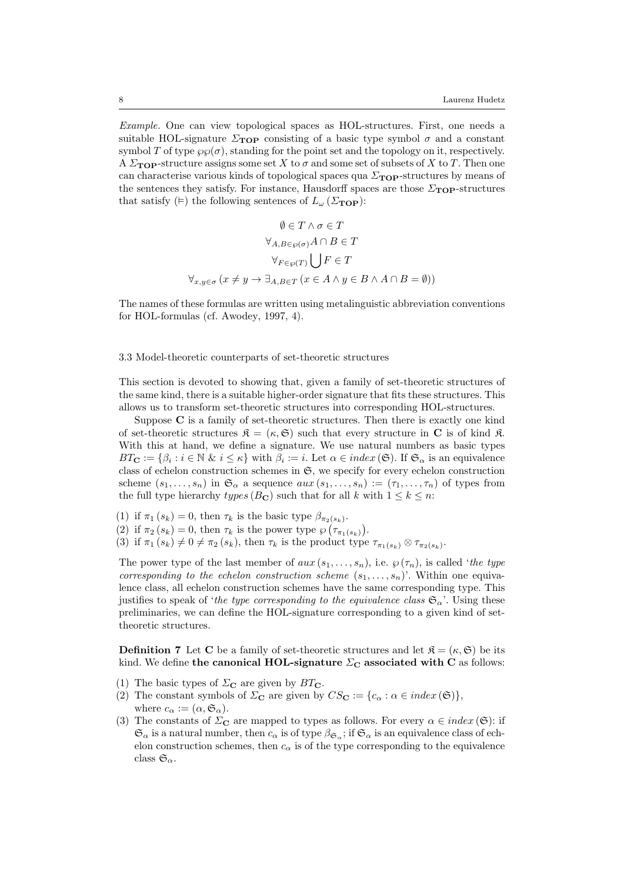Example. One can view topological spaces as HOL-structures. First, one needs a suitable HOL-signature  $\Sigma_{\text{TOP}}$  consisting of a basic type symbol  $\sigma$  and a constant symbol T of type  $\wp(\sigma)$ , standing for the point set and the topology on it, respectively. A  $\Sigma_{\text{TOP}}$ -structure assigns some set X to  $\sigma$  and some set of subsets of X to T. Then one can characterise various kinds of topological spaces qua  $\Sigma_{\text{TOP}}$ -structures by means of the sentences they satisfy. For instance, Hausdorff spaces are those  $\Sigma_{\text{TOP}}$ -structures that satisfy ( $\models$ ) the following sentences of  $L_{\omega}$  ( $\Sigma_{\text{TOP}}$ ):

$$
\emptyset \in T \land \sigma \in T
$$

$$
\forall_{A,B \in \wp(\sigma)} A \cap B \in T
$$

$$
\forall_{F \in \wp(T)} \bigcup F \in T
$$

$$
\forall_{x,y \in \sigma} (x \neq y \to \exists_{A,B \in T} (x \in A \land y \in B \land A \cap B = \emptyset))
$$

The names of these formulas are written using metalinguistic abbreviation conventions for HOL-formulas (cf. Awodey, 1997, 4).

#### 3.3 Model-theoretic counterparts of set-theoretic structures

This section is devoted to showing that, given a family of set-theoretic structures of the same kind, there is a suitable higher-order signature that fits these structures. This allows us to transform set-theoretic structures into corresponding HOL-structures.

Suppose C is a family of set-theoretic structures. Then there is exactly one kind of set-theoretic structures  $\mathfrak{K} = (\kappa, \mathfrak{S})$  such that every structure in C is of kind  $\mathfrak{K}$ . With this at hand, we define a signature. We use natural numbers as basic types  $BT_{\mathbf{C}} := \{\beta_i : i \in \mathbb{N} \& i \leq \kappa\}$  with  $\beta_i := i$ . Let  $\alpha \in index(\mathfrak{S})$ . If  $\mathfrak{S}_{\alpha}$  is an equivalence class of echelon construction schemes in  $\mathfrak{S}$ , we specify for every echelon construction scheme  $(s_1, \ldots, s_n)$  in  $\mathfrak{S}_{\alpha}$  a sequence  $aux(s_1, \ldots, s_n) := (\tau_1, \ldots, \tau_n)$  of types from the full type hierarchy types ( $B_{\mathbf{C}}$ ) such that for all k with  $1 \leq k \leq n$ :

(1) if  $\pi_1(s_k) = 0$ , then  $\tau_k$  is the basic type  $\beta_{\pi_2(s_k)}$ .

(2) if  $\pi_2(s_k) = 0$ , then  $\tau_k$  is the power type  $\wp(\tau_{\pi_1(s_k)})$ .

(3) if  $\pi_1(s_k) \neq 0 \neq \pi_2(s_k)$ , then  $\tau_k$  is the product type  $\tau_{\pi_1(s_k)} \otimes \tau_{\pi_2(s_k)}$ .

The power type of the last member of  $aux(s_1,...,s_n)$ , i.e.  $\varphi(\tau_n)$ , is called 'the type corresponding to the echelon construction scheme  $(s_1, \ldots, s_n)$ . Within one equivalence class, all echelon construction schemes have the same corresponding type. This justifies to speak of 'the type corresponding to the equivalence class  $\mathfrak{S}_{\alpha}$ '. Using these preliminaries, we can define the HOL-signature corresponding to a given kind of settheoretic structures.

**Definition 7** Let **C** be a family of set-theoretic structures and let  $\mathcal{R} = (\kappa, \mathfrak{S})$  be its kind. We define the canonical HOL-signature  $\Sigma_{\rm C}$  associated with C as follows:

- (1) The basic types of  $\Sigma_{\rm C}$  are given by  $BT_{\rm C}$ .
- (2) The constant symbols of  $\Sigma_{\mathbf{C}}$  are given by  $CS_{\mathbf{C}} := \{c_{\alpha} : \alpha \in index(\mathfrak{S})\},\$ where  $c_{\alpha} := (\alpha, \mathfrak{S}_{\alpha}).$
- (3) The constants of  $\Sigma_{\mathbf{C}}$  are mapped to types as follows. For every  $\alpha \in index(\mathfrak{S})$ : if  $\mathfrak{S}_{\alpha}$  is a natural number, then  $c_{\alpha}$  is of type  $\beta_{\mathfrak{S}_{\alpha}}$ ; if  $\mathfrak{S}_{\alpha}$  is an equivalence class of echelon construction schemes, then  $c_{\alpha}$  is of the type corresponding to the equivalence class  $\mathfrak{S}_{\alpha}$ .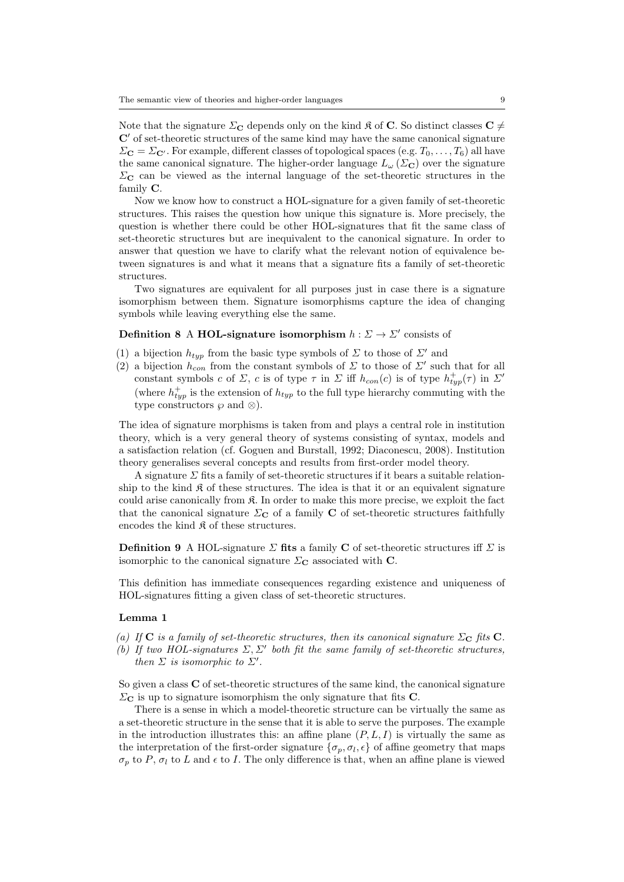Note that the signature  $\Sigma_{\mathbf{C}}$  depends only on the kind  $\mathfrak{K}$  of **C**. So distinct classes **C**  $\neq$  $C'$  of set-theoretic structures of the same kind may have the same canonical signature  $\Sigma_{\mathbf{C}} = \Sigma_{\mathbf{C'}}$ . For example, different classes of topological spaces (e.g.  $T_0, \ldots, T_6$ ) all have the same canonical signature. The higher-order language  $L_{\omega}(\Sigma_{\mathbf{C}})$  over the signature  $\Sigma_{\rm C}$  can be viewed as the internal language of the set-theoretic structures in the family C.

Now we know how to construct a HOL-signature for a given family of set-theoretic structures. This raises the question how unique this signature is. More precisely, the question is whether there could be other HOL-signatures that fit the same class of set-theoretic structures but are inequivalent to the canonical signature. In order to answer that question we have to clarify what the relevant notion of equivalence between signatures is and what it means that a signature fits a family of set-theoretic structures.

Two signatures are equivalent for all purposes just in case there is a signature isomorphism between them. Signature isomorphisms capture the idea of changing symbols while leaving everything else the same.

## Definition 8 A HOL-signature isomorphism  $h: \Sigma \to \Sigma'$  consists of

- (1) a bijection  $h_{twp}$  from the basic type symbols of  $\Sigma$  to those of  $\Sigma'$  and
- (2) a bijection  $h_{con}$  from the constant symbols of  $\Sigma$  to those of  $\Sigma'$  such that for all constant symbols c of  $\Sigma$ , c is of type  $\tau$  in  $\Sigma$  iff  $h_{con}(c)$  is of type  $h_{typ}^+(\tau)$  in  $\Sigma'$ (where  $h_{typ}^+$  is the extension of  $h_{typ}$  to the full type hierarchy commuting with the type constructors  $\wp$  and  $\otimes$ ).

The idea of signature morphisms is taken from and plays a central role in institution theory, which is a very general theory of systems consisting of syntax, models and a satisfaction relation (cf. Goguen and Burstall, 1992; Diaconescu, 2008). Institution theory generalises several concepts and results from first-order model theory.

A signature  $\Sigma$  fits a family of set-theoretic structures if it bears a suitable relationship to the kind  $\mathfrak K$  of these structures. The idea is that it or an equivalent signature could arise canonically from  $\mathfrak K$ . In order to make this more precise, we exploit the fact that the canonical signature  $\Sigma_{\mathbf{C}}$  of a family **C** of set-theoretic structures faithfully encodes the kind  $\mathfrak K$  of these structures.

**Definition 9** A HOL-signature  $\Sigma$  fits a family C of set-theoretic structures iff  $\Sigma$  is isomorphic to the canonical signature  $\Sigma_{\mathbf{C}}$  associated with **C**.

This definition has immediate consequences regarding existence and uniqueness of HOL-signatures fitting a given class of set-theoretic structures.

## Lemma 1

- (a) If C is a family of set-theoretic structures, then its canonical signature  $\Sigma_{\rm C}$  fits C.
- (b) If two HOL-signatures  $\Sigma$ ,  $\Sigma'$  both fit the same family of set-theoretic structures, then  $\Sigma$  is isomorphic to  $\Sigma'$ .

So given a class C of set-theoretic structures of the same kind, the canonical signature  $\Sigma_{\mathbf{C}}$  is up to signature isomorphism the only signature that fits **C**.

There is a sense in which a model-theoretic structure can be virtually the same as a set-theoretic structure in the sense that it is able to serve the purposes. The example in the introduction illustrates this: an affine plane  $(P, L, I)$  is virtually the same as the interpretation of the first-order signature  $\{\sigma_p, \sigma_l, \epsilon\}$  of affine geometry that maps  $\sigma_p$  to P,  $\sigma_l$  to L and  $\epsilon$  to I. The only difference is that, when an affine plane is viewed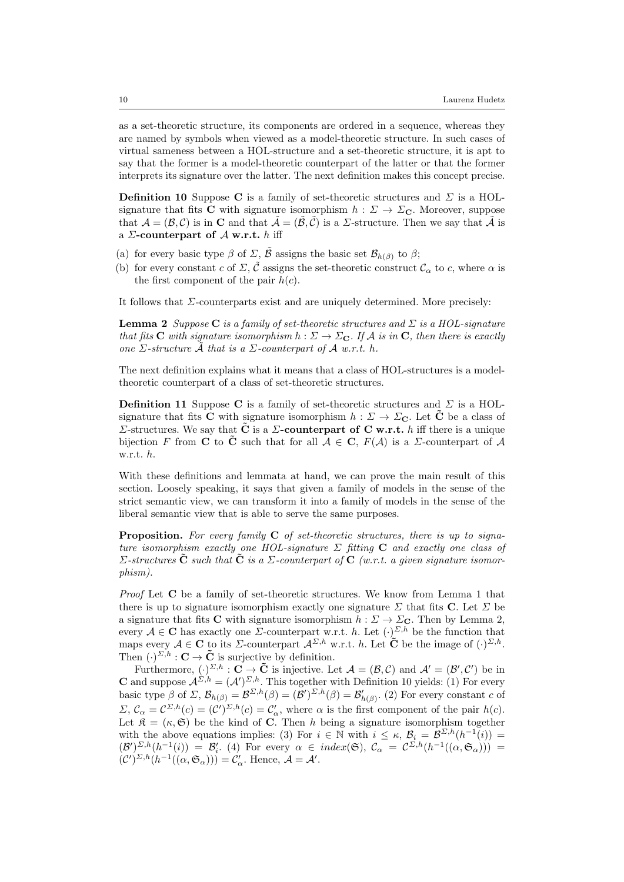as a set-theoretic structure, its components are ordered in a sequence, whereas they are named by symbols when viewed as a model-theoretic structure. In such cases of virtual sameness between a HOL-structure and a set-theoretic structure, it is apt to say that the former is a model-theoretic counterpart of the latter or that the former interprets its signature over the latter. The next definition makes this concept precise.

**Definition 10** Suppose C is a family of set-theoretic structures and  $\Sigma$  is a HOLsignature that fits C with signature isomorphism  $h : \Sigma \to \Sigma_{\mathbb{C}}$ . Moreover, suppose that  $\mathcal{A} = (\mathcal{B}, \mathcal{C})$  is in **C** and that  $\tilde{\mathcal{A}} = (\tilde{\mathcal{B}}, \tilde{\mathcal{C}})$  is a *Z*-structure. Then we say that  $\tilde{\mathcal{A}}$  is a  $\Sigma$ -counterpart of  $\mathcal A$  w.r.t. h iff

- (a) for every basic type  $\beta$  of  $\Sigma$ ,  $\tilde{\beta}$  assigns the basic set  $\mathcal{B}_{h(\beta)}$  to  $\beta$ ;
- (b) for every constant c of  $\Sigma, \tilde{\mathcal{C}}$  assigns the set-theoretic construct  $\mathcal{C}_{\alpha}$  to c, where  $\alpha$  is the first component of the pair  $h(c)$ .

It follows that  $\Sigma$ -counterparts exist and are uniquely determined. More precisely:

**Lemma 2** Suppose C is a family of set-theoretic structures and  $\Sigma$  is a HOL-signature that fits **C** with signature isomorphism  $h : \Sigma \to \Sigma_{\mathbf{C}}$ . If A is in **C**, then there is exactly one  $\Sigma$ -structure  $\tilde{\mathcal{A}}$  that is a  $\Sigma$ -counterpart of  $\mathcal{A}$  w.r.t. h.

The next definition explains what it means that a class of HOL-structures is a modeltheoretic counterpart of a class of set-theoretic structures.

**Definition 11** Suppose C is a family of set-theoretic structures and  $\Sigma$  is a HOLsignature that fits **C** with signature isomorphism  $h : \Sigma \to \Sigma_{\mathbb{C}}$ . Let **C** be a class of Σ-structures. We say that  $\tilde{\mathbf{C}}$  is a  $\Sigma$ -counterpart of C w.r.t. h iff there is a unique bijection F from C to  $\tilde{C}$  such that for all  $A \in C$ ,  $F(A)$  is a  $\Sigma$ -counterpart of A w.r.t. h.

With these definitions and lemmata at hand, we can prove the main result of this section. Loosely speaking, it says that given a family of models in the sense of the strict semantic view, we can transform it into a family of models in the sense of the liberal semantic view that is able to serve the same purposes.

**Proposition.** For every family  $C$  of set-theoretic structures, there is up to signature isomorphism exactly one HOL-signature  $\Sigma$  fitting C and exactly one class of  $\Sigma$ -structures  $\tilde{\mathbf{C}}$  such that  $\tilde{\mathbf{C}}$  is a  $\Sigma$ -counterpart of  $\mathbf{C}$  (w.r.t. a given signature isomorphism).

Proof Let C be a family of set-theoretic structures. We know from Lemma 1 that there is up to signature isomorphism exactly one signature  $\Sigma$  that fits C. Let  $\Sigma$  be a signature that fits **C** with signature isomorphism  $h : \Sigma \to \Sigma_{\mathbf{C}}$ . Then by Lemma 2, every  $A \in \mathbb{C}$  has exactly one  $\Sigma$ -counterpart w.r.t. h. Let  $(\cdot)^{\Sigma,h}$  be the function that maps every  $A \in \mathbb{C}$  to its  $\Sigma$ -counterpart  $\mathcal{A}^{\Sigma,h}$  w.r.t. h. Let  $\tilde{\mathbb{C}}$  be the image of  $(\cdot)^{\Sigma,h}$ . Then  $(\cdot)^{\Sigma,h} : \mathbf{C} \to \tilde{\mathbf{C}}$  is surjective by definition.

Furthermore,  $(\cdot)^{\Sigma,h} : \mathbf{C} \to \tilde{\mathbf{C}}$  is injective. Let  $\mathcal{A} = (\mathcal{B}, \mathcal{C})$  and  $\mathcal{A}' = (\mathcal{B}', \mathcal{C}')$  be in **C** and suppose  $\mathcal{A}^{\Sigma,h} = (\mathcal{A}')^{\Sigma,h}$ . This together with Definition 10 yields: (1) For every basic type  $\beta$  of  $\Sigma$ ,  $\mathcal{B}_{h(\beta)} = \mathcal{B}^{\Sigma,h}(\beta) = (\mathcal{B}')^{\Sigma,h}(\beta) = \mathcal{B}'_{h(\beta)}$ . (2) For every constant c of  $\Sigma, \mathcal{C}_{\alpha} = C^{\Sigma, h}(c) = (C')^{\Sigma, h}(c) = C'_{\alpha}$ , where  $\alpha$  is the first component of the pair  $h(c)$ . Let  $\mathfrak{K} = (\kappa, \mathfrak{S})$  be the kind of **C**. Then h being a signature isomorphism together with the above equations implies: (3) For  $i \in \mathbb{N}$  with  $i \leq \kappa$ ,  $\mathcal{B}_i = \mathcal{B}^{\Sigma,h}(h^{-1}(i)) =$  $(\mathcal{B}')^{\Sigma,h}_{-}(h^{-1}(i)) = \mathcal{B}'_i$ . (4) For every  $\alpha \in index(\mathfrak{S}), \mathcal{C}_\alpha = \mathcal{C}^{\Sigma,h}(h^{-1}((\alpha,\mathfrak{S}_\alpha)))$  $(\mathcal{C}')^{\Sigma,h}(h^{-1}((\alpha,\mathfrak{S}_{\alpha})))=\mathcal{C}'_{\alpha}$ . Hence,  $\mathcal{A}=\mathcal{A}'$ .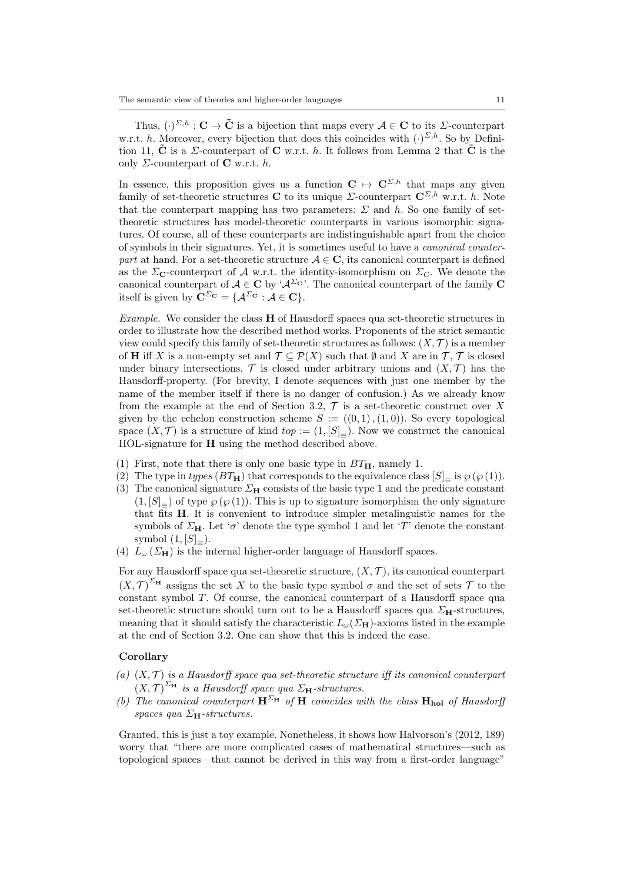Thus,  $(\cdot)^{\Sigma,h}: \mathbf{C} \to \tilde{\mathbf{C}}$  is a bijection that maps every  $\mathcal{A} \in \mathbf{C}$  to its  $\Sigma$ -counterpart w.r.t. h. Moreover, every bijection that does this coincides with  $(\cdot)^{\Sigma,h}$ . So by Definition 11,  $\tilde{C}$  is a  $\Sigma$ -counterpart of C w.r.t. h. It follows from Lemma 2 that  $\tilde{C}$  is the only  $\Sigma$ -counterpart of **C** w.r.t. h.

In essence, this proposition gives us a function  $C \rightarrow C^{\Sigma,h}$  that maps any given family of set-theoretic structures C to its unique  $\Sigma$ -counterpart  $C^{\Sigma,h}$  w.r.t. h. Note that the counterpart mapping has two parameters:  $\Sigma$  and h. So one family of settheoretic structures has model-theoretic counterparts in various isomorphic signatures. Of course, all of these counterparts are indistinguishable apart from the choice of symbols in their signatures. Yet, it is sometimes useful to have a canonical counterpart at hand. For a set-theoretic structure  $A \in \mathbb{C}$ , its canonical counterpart is defined as the  $\Sigma_{\mathbf{C}}$ -counterpart of A w.r.t. the identity-isomorphism on  $\Sigma_{\mathbf{C}}$ . We denote the canonical counterpart of  $A \in \mathbb{C}$  by ' $A^{\Sigma_{\mathbf{C}}'}$ . The canonical counterpart of the family  $\mathbb{C}$ itself is given by  $\mathbf{C}^{\Sigma_{\mathbf{C}}} = \{ \mathcal{A}^{\Sigma_{\mathbf{C}}} : \mathcal{A} \in \mathbf{C} \}.$ 

Example. We consider the class H of Hausdorff spaces qua set-theoretic structures in order to illustrate how the described method works. Proponents of the strict semantic view could specify this family of set-theoretic structures as follows:  $(X, \mathcal{T})$  is a member of **H** iff X is a non-empty set and  $\mathcal{T} \subseteq \mathcal{P}(X)$  such that  $\emptyset$  and X are in  $\mathcal{T}, \mathcal{T}$  is closed under binary intersections,  $\mathcal T$  is closed under arbitrary unions and  $(X, \mathcal T)$  has the Hausdorff-property. (For brevity, I denote sequences with just one member by the name of the member itself if there is no danger of confusion.) As we already know from the example at the end of Section 3.2,  $\mathcal T$  is a set-theoretic construct over X given by the echelon construction scheme  $S := ((0,1), (1,0))$ . So every topological space  $(X, \mathcal{T})$  is a structure of kind  $top := (1, [S]_{=})$ . Now we construct the canonical HOL-signature for H using the method described above.

- (1) First, note that there is only one basic type in  $BT_{H}$ , namely 1.
- (2) The type in types  $(BT_H)$  that corresponds to the equivalence class  $[S]$ <sub>=</sub> is  $\wp(\wp(1))$ .
- (3) The canonical signature  $\Sigma_{\mathbf{H}}$  consists of the basic type 1 and the predicate constant  $(1, [S]_{=})$  of type  $\wp(\wp(1))$ . This is up to signature isomorphism the only signature that fits H. It is convenient to introduce simpler metalinguistic names for the symbols of  $\Sigma_{\mathbf{H}}$ . Let ' $\sigma$ ' denote the type symbol 1 and let 'T' denote the constant symbol  $(1, [S]_{=}).$
- (4)  $L_{\omega}$  ( $\Sigma_{\text{H}}$ ) is the internal higher-order language of Hausdorff spaces.

For any Hausdorff space qua set-theoretic structure,  $(X, \mathcal{T})$ , its canonical counterpart  $(X,\mathcal{T})^{\Sigma_{\mathbf{H}}}$  assigns the set X to the basic type symbol  $\sigma$  and the set of sets T to the constant symbol T. Of course, the canonical counterpart of a Hausdorff space qua set-theoretic structure should turn out to be a Hausdorff spaces qua  $\Sigma_{\mathbf{H}}$ -structures, meaning that it should satisfy the characteristic  $L_{\omega}(\Sigma_{\mathbf{H}})$ -axioms listed in the example at the end of Section 3.2. One can show that this is indeed the case.

# Corollary

- (a)  $(X, \mathcal{T})$  is a Hausdorff space qua set-theoretic structure iff its canonical counterpart  $(X, \mathcal{T})^{\Sigma_{\mathbf{H}}}$  is a Hausdorff space qua  $\Sigma_{\mathbf{H}}$ -structures.
- (b) The canonical counterpart  $\mathbf{H}^{\Sigma_{\mathbf{H}}}$  of  $\mathbf{H}$  coincides with the class  $\mathbf{H}_{\text{hol}}$  of Hausdorff spaces qua  $\Sigma_{\mathbf{H}}$ -structures.

Granted, this is just a toy example. Nonetheless, it shows how Halvorson's (2012, 189) worry that "there are more complicated cases of mathematical structures—such as topological spaces—that cannot be derived in this way from a first-order language"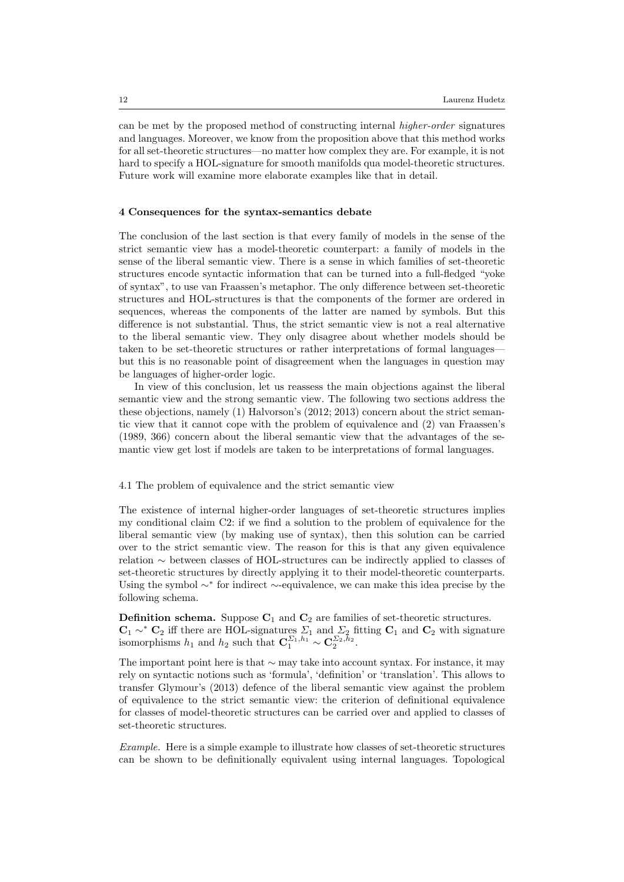can be met by the proposed method of constructing internal higher-order signatures and languages. Moreover, we know from the proposition above that this method works for all set-theoretic structures—no matter how complex they are. For example, it is not hard to specify a HOL-signature for smooth manifolds qua model-theoretic structures. Future work will examine more elaborate examples like that in detail.

### 4 Consequences for the syntax-semantics debate

The conclusion of the last section is that every family of models in the sense of the strict semantic view has a model-theoretic counterpart: a family of models in the sense of the liberal semantic view. There is a sense in which families of set-theoretic structures encode syntactic information that can be turned into a full-fledged "yoke of syntax", to use van Fraassen's metaphor. The only difference between set-theoretic structures and HOL-structures is that the components of the former are ordered in sequences, whereas the components of the latter are named by symbols. But this difference is not substantial. Thus, the strict semantic view is not a real alternative to the liberal semantic view. They only disagree about whether models should be taken to be set-theoretic structures or rather interpretations of formal languages but this is no reasonable point of disagreement when the languages in question may be languages of higher-order logic.

In view of this conclusion, let us reassess the main objections against the liberal semantic view and the strong semantic view. The following two sections address the these objections, namely (1) Halvorson's (2012; 2013) concern about the strict semantic view that it cannot cope with the problem of equivalence and (2) van Fraassen's (1989, 366) concern about the liberal semantic view that the advantages of the semantic view get lost if models are taken to be interpretations of formal languages.

#### 4.1 The problem of equivalence and the strict semantic view

The existence of internal higher-order languages of set-theoretic structures implies my conditional claim C2: if we find a solution to the problem of equivalence for the liberal semantic view (by making use of syntax), then this solution can be carried over to the strict semantic view. The reason for this is that any given equivalence relation ∼ between classes of HOL-structures can be indirectly applied to classes of set-theoretic structures by directly applying it to their model-theoretic counterparts. Using the symbol ∼<sup>∗</sup> for indirect ∼-equivalence, we can make this idea precise by the following schema.

**Definition schema.** Suppose  $C_1$  and  $C_2$  are families of set-theoretic structures.  $C_1 \sim^* C_2$  iff there are HOL-signatures  $\Sigma_1$  and  $\Sigma_2$  fitting  $C_1$  and  $C_2$  with signature isomorphisms  $h_1$  and  $h_2$  such that  $\mathbf{C}_1^{\Sigma_1,h_1} \sim \mathbf{C}_2^{\Sigma_2,h_2}$ .

The important point here is that ∼ may take into account syntax. For instance, it may rely on syntactic notions such as 'formula', 'definition' or 'translation'. This allows to transfer Glymour's (2013) defence of the liberal semantic view against the problem of equivalence to the strict semantic view: the criterion of definitional equivalence for classes of model-theoretic structures can be carried over and applied to classes of set-theoretic structures.

Example. Here is a simple example to illustrate how classes of set-theoretic structures can be shown to be definitionally equivalent using internal languages. Topological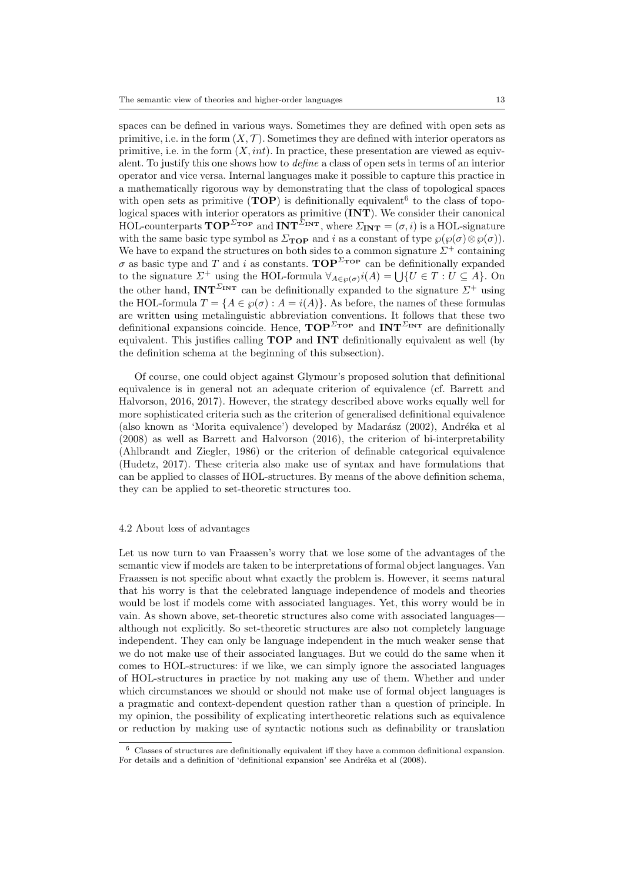spaces can be defined in various ways. Sometimes they are defined with open sets as primitive, i.e. in the form  $(X, \mathcal{T})$ . Sometimes they are defined with interior operators as primitive, i.e. in the form  $(X, int)$ . In practice, these presentation are viewed as equivalent. To justify this one shows how to define a class of open sets in terms of an interior operator and vice versa. Internal languages make it possible to capture this practice in a mathematically rigorous way by demonstrating that the class of topological spaces with open sets as primitive  $(TOP)$  is definitionally equivalent<sup>6</sup> to the class of topological spaces with interior operators as primitive (INT). We consider their canonical HOL-counterparts  $\text{TOP}^{\Sigma_{\text{TOP}}}$  and  $\text{INT}^{\Sigma_{\text{INT}}}$ , where  $\Sigma_{\text{INT}} = (\sigma, i)$  is a HOL-signature with the same basic type symbol as  $\Sigma_{\text{TOP}}$  and i as a constant of type  $\wp(\wp(\sigma) \otimes \wp(\sigma))$ . We have to expand the structures on both sides to a common signature  $\Sigma^+$  containing  $\sigma$  as basic type and T and i as constants. TOP<sup> $\Sigma$ TOP</sup> can be definitionally expanded to the signature  $\Sigma^+$  using the HOL-formula  $\forall_{A \in \wp(\sigma)} i(A) = \bigcup \{U \in T : U \subseteq A\}$ . On the other hand, INT<sup>ΣINT</sup> can be definitionally expanded to the signature  $\Sigma^+$  using the HOL-formula  $T = \{A \in \wp(\sigma) : A = i(A)\}\)$ . As before, the names of these formulas are written using metalinguistic abbreviation conventions. It follows that these two definitional expansions coincide. Hence,  $\mathbf{TOP}^{\Sigma_{\mathbf{TOP}}}$  and  $\mathbf{INT}^{\Sigma_{\mathbf{INT}}}$  are definitionally equivalent. This justifies calling TOP and INT definitionally equivalent as well (by the definition schema at the beginning of this subsection).

Of course, one could object against Glymour's proposed solution that definitional equivalence is in general not an adequate criterion of equivalence (cf. Barrett and Halvorson, 2016, 2017). However, the strategy described above works equally well for more sophisticated criteria such as the criterion of generalised definitional equivalence (also known as 'Morita equivalence') developed by Madarász (2002), Andréka et al (2008) as well as Barrett and Halvorson (2016), the criterion of bi-interpretability (Ahlbrandt and Ziegler, 1986) or the criterion of definable categorical equivalence (Hudetz, 2017). These criteria also make use of syntax and have formulations that can be applied to classes of HOL-structures. By means of the above definition schema, they can be applied to set-theoretic structures too.

#### 4.2 About loss of advantages

Let us now turn to van Fraassen's worry that we lose some of the advantages of the semantic view if models are taken to be interpretations of formal object languages. Van Fraassen is not specific about what exactly the problem is. However, it seems natural that his worry is that the celebrated language independence of models and theories would be lost if models come with associated languages. Yet, this worry would be in vain. As shown above, set-theoretic structures also come with associated languages although not explicitly. So set-theoretic structures are also not completely language independent. They can only be language independent in the much weaker sense that we do not make use of their associated languages. But we could do the same when it comes to HOL-structures: if we like, we can simply ignore the associated languages of HOL-structures in practice by not making any use of them. Whether and under which circumstances we should or should not make use of formal object languages is a pragmatic and context-dependent question rather than a question of principle. In my opinion, the possibility of explicating intertheoretic relations such as equivalence or reduction by making use of syntactic notions such as definability or translation

 $6$  Classes of structures are definitionally equivalent iff they have a common definitional expansion. For details and a definition of 'definitional expansion' see Andréka et al (2008).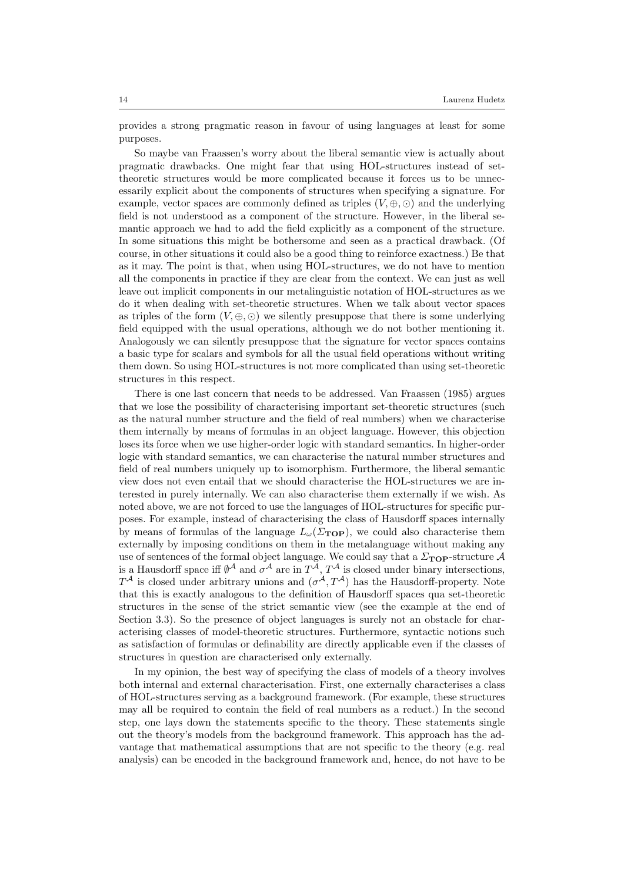provides a strong pragmatic reason in favour of using languages at least for some purposes.

So maybe van Fraassen's worry about the liberal semantic view is actually about pragmatic drawbacks. One might fear that using HOL-structures instead of settheoretic structures would be more complicated because it forces us to be unnecessarily explicit about the components of structures when specifying a signature. For example, vector spaces are commonly defined as triples  $(V, \oplus, \odot)$  and the underlying field is not understood as a component of the structure. However, in the liberal semantic approach we had to add the field explicitly as a component of the structure. In some situations this might be bothersome and seen as a practical drawback. (Of course, in other situations it could also be a good thing to reinforce exactness.) Be that as it may. The point is that, when using HOL-structures, we do not have to mention all the components in practice if they are clear from the context. We can just as well leave out implicit components in our metalinguistic notation of HOL-structures as we do it when dealing with set-theoretic structures. When we talk about vector spaces as triples of the form  $(V, \oplus, \odot)$  we silently presuppose that there is some underlying field equipped with the usual operations, although we do not bother mentioning it. Analogously we can silently presuppose that the signature for vector spaces contains a basic type for scalars and symbols for all the usual field operations without writing them down. So using HOL-structures is not more complicated than using set-theoretic structures in this respect.

There is one last concern that needs to be addressed. Van Fraassen (1985) argues that we lose the possibility of characterising important set-theoretic structures (such as the natural number structure and the field of real numbers) when we characterise them internally by means of formulas in an object language. However, this objection loses its force when we use higher-order logic with standard semantics. In higher-order logic with standard semantics, we can characterise the natural number structures and field of real numbers uniquely up to isomorphism. Furthermore, the liberal semantic view does not even entail that we should characterise the HOL-structures we are interested in purely internally. We can also characterise them externally if we wish. As noted above, we are not forced to use the languages of HOL-structures for specific purposes. For example, instead of characterising the class of Hausdorff spaces internally by means of formulas of the language  $L_{\omega}(\Sigma_{\text{TOP}})$ , we could also characterise them externally by imposing conditions on them in the metalanguage without making any use of sentences of the formal object language. We could say that a  $\Sigma_{\text{TOP}}$ -structure A is a Hausdorff space iff  $\emptyset^{\mathcal{A}}$  and  $\sigma^{\mathcal{A}}$  are in  $T^{\mathcal{A}}, T^{\mathcal{A}}$  is closed under binary intersections,  $T^{\mathcal{A}}$  is closed under arbitrary unions and  $(\sigma^{\mathcal{A}}, T^{\mathcal{A}})$  has the Hausdorff-property. Note that this is exactly analogous to the definition of Hausdorff spaces qua set-theoretic structures in the sense of the strict semantic view (see the example at the end of Section 3.3). So the presence of object languages is surely not an obstacle for characterising classes of model-theoretic structures. Furthermore, syntactic notions such as satisfaction of formulas or definability are directly applicable even if the classes of structures in question are characterised only externally.

In my opinion, the best way of specifying the class of models of a theory involves both internal and external characterisation. First, one externally characterises a class of HOL-structures serving as a background framework. (For example, these structures may all be required to contain the field of real numbers as a reduct.) In the second step, one lays down the statements specific to the theory. These statements single out the theory's models from the background framework. This approach has the advantage that mathematical assumptions that are not specific to the theory (e.g. real analysis) can be encoded in the background framework and, hence, do not have to be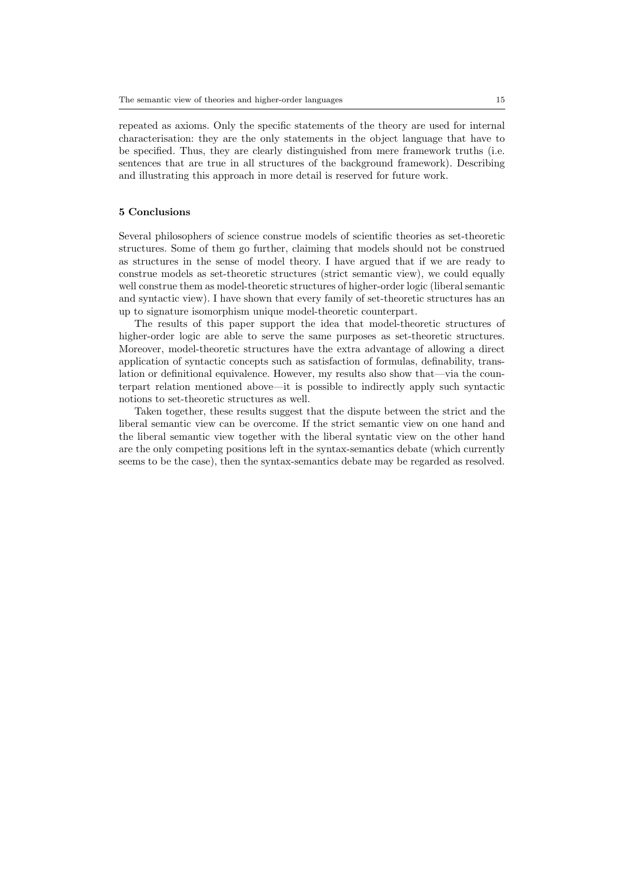repeated as axioms. Only the specific statements of the theory are used for internal characterisation: they are the only statements in the object language that have to be specified. Thus, they are clearly distinguished from mere framework truths (i.e. sentences that are true in all structures of the background framework). Describing and illustrating this approach in more detail is reserved for future work.

## 5 Conclusions

Several philosophers of science construe models of scientific theories as set-theoretic structures. Some of them go further, claiming that models should not be construed as structures in the sense of model theory. I have argued that if we are ready to construe models as set-theoretic structures (strict semantic view), we could equally well construe them as model-theoretic structures of higher-order logic (liberal semantic and syntactic view). I have shown that every family of set-theoretic structures has an up to signature isomorphism unique model-theoretic counterpart.

The results of this paper support the idea that model-theoretic structures of higher-order logic are able to serve the same purposes as set-theoretic structures. Moreover, model-theoretic structures have the extra advantage of allowing a direct application of syntactic concepts such as satisfaction of formulas, definability, translation or definitional equivalence. However, my results also show that—via the counterpart relation mentioned above—it is possible to indirectly apply such syntactic notions to set-theoretic structures as well.

Taken together, these results suggest that the dispute between the strict and the liberal semantic view can be overcome. If the strict semantic view on one hand and the liberal semantic view together with the liberal syntatic view on the other hand are the only competing positions left in the syntax-semantics debate (which currently seems to be the case), then the syntax-semantics debate may be regarded as resolved.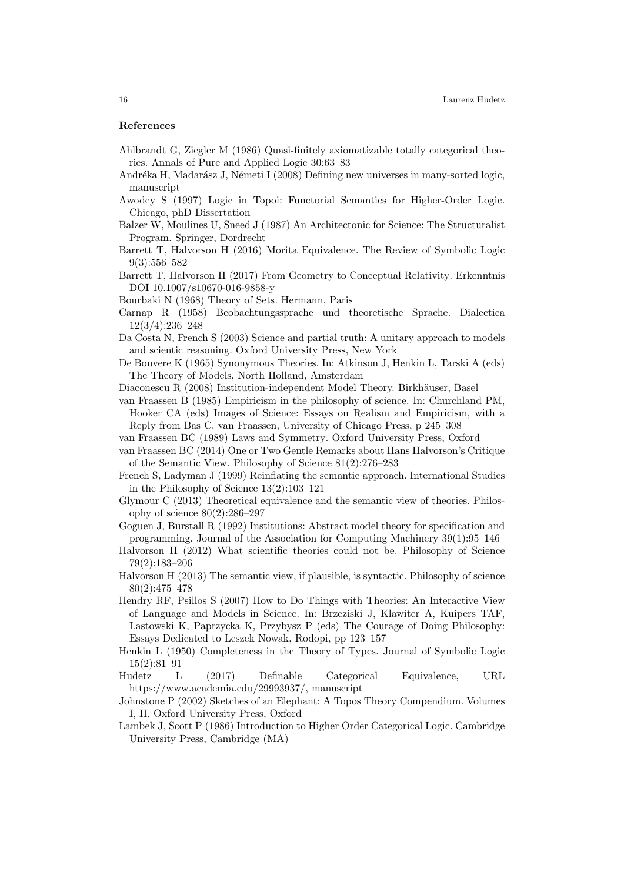## References

- Ahlbrandt G, Ziegler M (1986) Quasi-finitely axiomatizable totally categorical theories. Annals of Pure and Applied Logic 30:63–83
- Andréka H, Madarász J, Németi I (2008) Defining new universes in many-sorted logic, manuscript
- Awodey S (1997) Logic in Topoi: Functorial Semantics for Higher-Order Logic. Chicago, phD Dissertation
- Balzer W, Moulines U, Sneed J (1987) An Architectonic for Science: The Structuralist Program. Springer, Dordrecht
- Barrett T, Halvorson H (2016) Morita Equivalence. The Review of Symbolic Logic 9(3):556–582
- Barrett T, Halvorson H (2017) From Geometry to Conceptual Relativity. Erkenntnis DOI 10.1007/s10670-016-9858-y
- Bourbaki N (1968) Theory of Sets. Hermann, Paris
- Carnap R (1958) Beobachtungssprache und theoretische Sprache. Dialectica 12(3/4):236–248
- Da Costa N, French S (2003) Science and partial truth: A unitary approach to models and scientic reasoning. Oxford University Press, New York
- De Bouvere K (1965) Synonymous Theories. In: Atkinson J, Henkin L, Tarski A (eds) The Theory of Models, North Holland, Amsterdam
- Diaconescu R (2008) Institution-independent Model Theory. Birkhäuser, Basel
- van Fraassen B (1985) Empiricism in the philosophy of science. In: Churchland PM, Hooker CA (eds) Images of Science: Essays on Realism and Empiricism, with a Reply from Bas C. van Fraassen, University of Chicago Press, p 245–308
- van Fraassen BC (1989) Laws and Symmetry. Oxford University Press, Oxford
- van Fraassen BC (2014) One or Two Gentle Remarks about Hans Halvorson's Critique of the Semantic View. Philosophy of Science 81(2):276–283
- French S, Ladyman J (1999) Reinflating the semantic approach. International Studies in the Philosophy of Science 13(2):103–121
- Glymour C (2013) Theoretical equivalence and the semantic view of theories. Philosophy of science  $80(2):286-297$
- Goguen J, Burstall R (1992) Institutions: Abstract model theory for specification and programming. Journal of the Association for Computing Machinery 39(1):95–146
- Halvorson H (2012) What scientific theories could not be. Philosophy of Science 79(2):183–206
- Halvorson H (2013) The semantic view, if plausible, is syntactic. Philosophy of science 80(2):475–478
- Hendry RF, Psillos S (2007) How to Do Things with Theories: An Interactive View of Language and Models in Science. In: Brzeziski J, Klawiter A, Kuipers TAF, Lastowski K, Paprzycka K, Przybysz P (eds) The Courage of Doing Philosophy: Essays Dedicated to Leszek Nowak, Rodopi, pp 123–157
- Henkin L (1950) Completeness in the Theory of Types. Journal of Symbolic Logic 15(2):81–91
- Hudetz L (2017) Definable Categorical Equivalence, URL https://www.academia.edu/29993937/, manuscript
- Johnstone P (2002) Sketches of an Elephant: A Topos Theory Compendium. Volumes I, II. Oxford University Press, Oxford
- Lambek J, Scott P (1986) Introduction to Higher Order Categorical Logic. Cambridge University Press, Cambridge (MA)